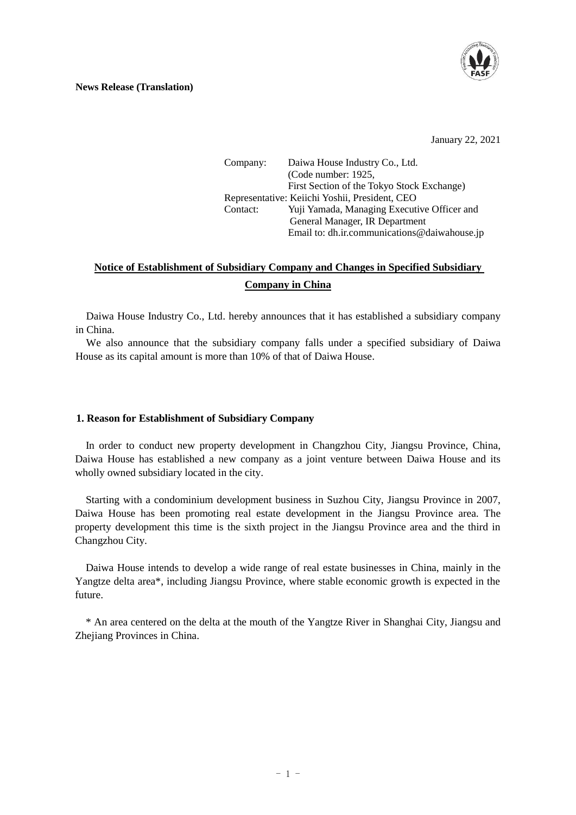

#### **News Release (Translation)**

January 22, 2021

Company: Daiwa House Industry Co., Ltd. (Code number: 1925, First Section of the Tokyo Stock Exchange) Representative: Keiichi Yoshii, President, CEO Contact: Yuji Yamada, Managing Executive Officer and General Manager, IR Department Email to: dh.ir.communications@daiwahouse.jp

# **Notice of Establishment of Subsidiary Company and Changes in Specified Subsidiary Company in China**

Daiwa House Industry Co., Ltd. hereby announces that it has established a subsidiary company in China.

We also announce that the subsidiary company falls under a specified subsidiary of Daiwa House as its capital amount is more than 10% of that of Daiwa House.

### **1. Reason for Establishment of Subsidiary Company**

In order to conduct new property development in Changzhou City, Jiangsu Province, China, Daiwa House has established a new company as a joint venture between Daiwa House and its wholly owned subsidiary located in the city.

Starting with a condominium development business in Suzhou City, Jiangsu Province in 2007, Daiwa House has been promoting real estate development in the Jiangsu Province area. The property development this time is the sixth project in the Jiangsu Province area and the third in Changzhou City.

Daiwa House intends to develop a wide range of real estate businesses in China, mainly in the Yangtze delta area\*, including Jiangsu Province, where stable economic growth is expected in the future.

\* An area centered on the delta at the mouth of the Yangtze River in Shanghai City, Jiangsu and Zheijang Provinces in China.